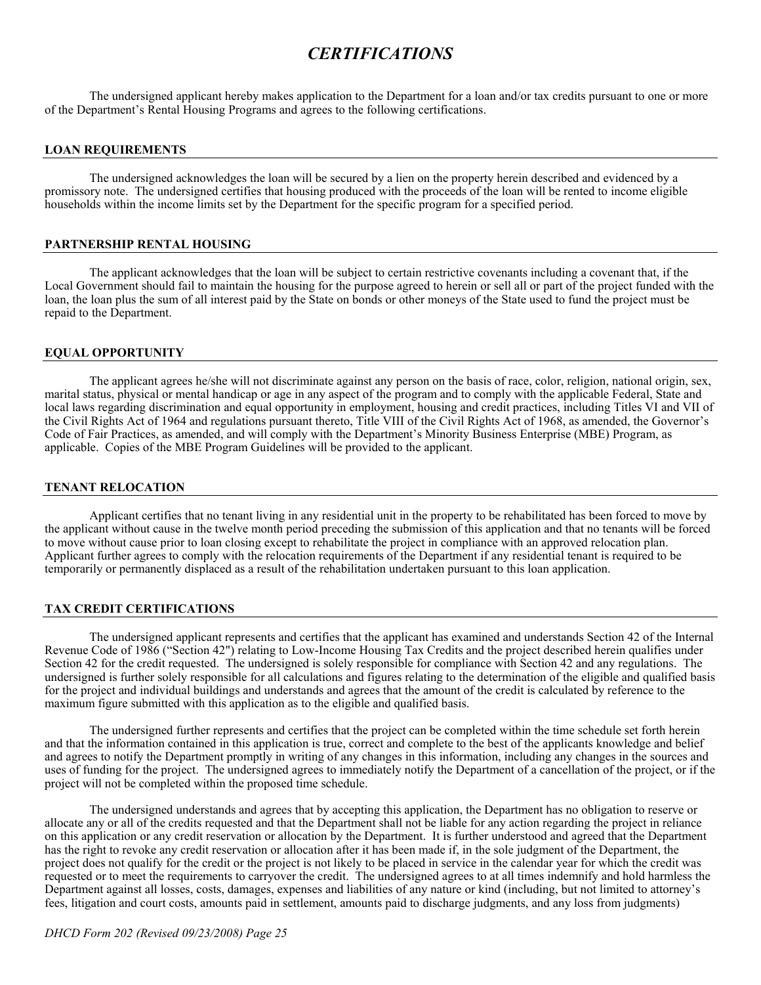# *CERTIFICATIONS*

The undersigned applicant hereby makes application to the Department for a loan and/or tax credits pursuant to one or more of the Department's Rental Housing Programs and agrees to the following certifications.

#### **LOAN REQUIREMENTS**

The undersigned acknowledges the loan will be secured by a lien on the property herein described and evidenced by a promissory note. The undersigned certifies that housing produced with the proceeds of the loan will be rented to income eligible households within the income limits set by the Department for the specific program for a specified period.

### **PARTNERSHIP RENTAL HOUSING**

The applicant acknowledges that the loan will be subject to certain restrictive covenants including a covenant that, if the Local Government should fail to maintain the housing for the purpose agreed to herein or sell all or part of the project funded with the loan, the loan plus the sum of all interest paid by the State on bonds or other moneys of the State used to fund the project must be repaid to the Department.

#### **EQUAL OPPORTUNITY**

The applicant agrees he/she will not discriminate against any person on the basis of race, color, religion, national origin, sex, marital status, physical or mental handicap or age in any aspect of the program and to comply with the applicable Federal, State and local laws regarding discrimination and equal opportunity in employment, housing and credit practices, including Titles VI and VII of the Civil Rights Act of 1964 and regulations pursuant thereto, Title VIII of the Civil Rights Act of 1968, as amended, the Governor's Code of Fair Practices, as amended, and will comply with the Department's Minority Business Enterprise (MBE) Program, as applicable. Copies of the MBE Program Guidelines will be provided to the applicant.

#### **TENANT RELOCATION**

Applicant certifies that no tenant living in any residential unit in the property to be rehabilitated has been forced to move by the applicant without cause in the twelve month period preceding the submission of this application and that no tenants will be forced to move without cause prior to loan closing except to rehabilitate the project in compliance with an approved relocation plan. Applicant further agrees to comply with the relocation requirements of the Department if any residential tenant is required to be temporarily or permanently displaced as a result of the rehabilitation undertaken pursuant to this loan application.

## **TAX CREDIT CERTIFICATIONS**

The undersigned applicant represents and certifies that the applicant has examined and understands Section 42 of the Internal Revenue Code of 1986 ("Section 42") relating to Low-Income Housing Tax Credits and the project described herein qualifies under Section 42 for the credit requested. The undersigned is solely responsible for compliance with Section 42 and any regulations. The undersigned is further solely responsible for all calculations and figures relating to the determination of the eligible and qualified basis for the project and individual buildings and understands and agrees that the amount of the credit is calculated by reference to the maximum figure submitted with this application as to the eligible and qualified basis.

The undersigned further represents and certifies that the project can be completed within the time schedule set forth herein and that the information contained in this application is true, correct and complete to the best of the applicants knowledge and belief and agrees to notify the Department promptly in writing of any changes in this information, including any changes in the sources and uses of funding for the project. The undersigned agrees to immediately notify the Department of a cancellation of the project, or if the project will not be completed within the proposed time schedule.

The undersigned understands and agrees that by accepting this application, the Department has no obligation to reserve or allocate any or all of the credits requested and that the Department shall not be liable for any action regarding the project in reliance on this application or any credit reservation or allocation by the Department. It is further understood and agreed that the Department has the right to revoke any credit reservation or allocation after it has been made if, in the sole judgment of the Department, the project does not qualify for the credit or the project is not likely to be placed in service in the calendar year for which the credit was requested or to meet the requirements to carryover the credit. The undersigned agrees to at all times indemnify and hold harmless the Department against all losses, costs, damages, expenses and liabilities of any nature or kind (including, but not limited to attorney's fees, litigation and court costs, amounts paid in settlement, amounts paid to discharge judgments, and any loss from judgments)